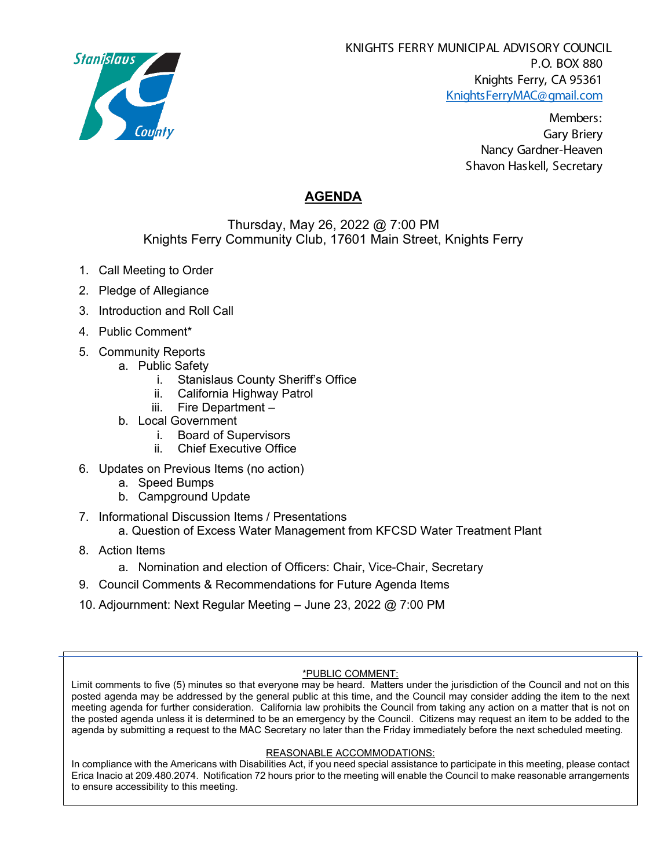

KNIGHTS FERRY MUNICIPAL ADVISORY COUNCIL P.O. BOX 880 Knights Ferry, CA 95361 [KnightsFerryMAC@gmail.com](mailto:KnightsFerryMAC@gmail.com)

> Members: Gary Briery Nancy Gardner-Heaven Shavon Haskell, Secretary

# **AGENDA**

## Thursday, May 26, 2022 @ 7:00 PM Knights Ferry Community Club, 17601 Main Street, Knights Ferry

- 1. Call Meeting to Order
- 2. Pledge of Allegiance
- 3. Introduction and Roll Call
- 4. Public Comment\*
- 5. Community Reports
	- a. Public Safety
		- i. Stanislaus County Sheriff's Office
		- ii. California Highway Patrol
		- iii. Fire Department –
	- b. Local Government
		- i. Board of Supervisors
		- ii. Chief Executive Office
- 6. Updates on Previous Items (no action)
	- a. Speed Bumps
	- b. Campground Update
- 7. Informational Discussion Items / Presentations
	- a. Question of Excess Water Management from KFCSD Water Treatment Plant
- 8. Action Items
	- a. Nomination and election of Officers: Chair, Vice-Chair, Secretary
- 9. Council Comments & Recommendations for Future Agenda Items
- 10. Adjournment: Next Regular Meeting June 23, 2022 @ 7:00 PM

## \*PUBLIC COMMENT:

Limit comments to five (5) minutes so that everyone may be heard. Matters under the jurisdiction of the Council and not on this posted agenda may be addressed by the general public at this time, and the Council may consider adding the item to the next meeting agenda for further consideration. California law prohibits the Council from taking any action on a matter that is not on the posted agenda unless it is determined to be an emergency by the Council. Citizens may request an item to be added to the agenda by submitting a request to the MAC Secretary no later than the Friday immediately before the next scheduled meeting.

#### REASONABLE ACCOMMODATIONS:

In compliance with the Americans with Disabilities Act, if you need special assistance to participate in this meeting, please contact Erica Inacio at 209.480.2074. Notification 72 hours prior to the meeting will enable the Council to make reasonable arrangements to ensure accessibility to this meeting.